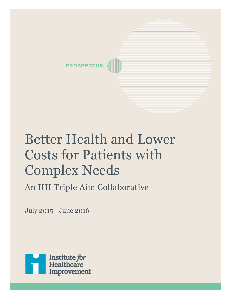

# Better Health and Lower Costs for Patients with Complex Needs

An IHI Triple Aim Collaborative

July 2015 - June 2016

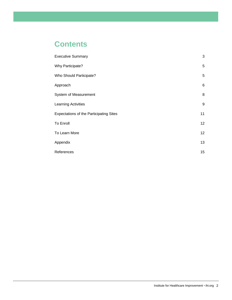## **Contents**

| <b>Executive Summary</b>                       | 3               |
|------------------------------------------------|-----------------|
| <b>Why Participate?</b>                        | 5               |
| <b>Who Should Participate?</b>                 | $\sqrt{5}$      |
| Approach                                       | $\,6$           |
| System of Measurement                          | $\bf 8$         |
| <b>Learning Activities</b>                     | 9               |
| <b>Expectations of the Participating Sites</b> | 11              |
| To Enroll                                      | 12 <sub>2</sub> |
| To Learn More                                  | 12              |
| Appendix                                       | 13              |
| References                                     | 15              |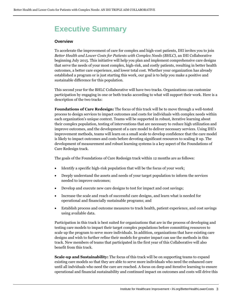# <span id="page-2-0"></span>**Executive Summary**

#### **Overview**

To accelerate the improvement of care for complex and high-cost patients, IHI invites you to join *Better Health and Lower Costs for Patients with Complex Needs (BHLC)*, an IHI Collaborative beginning July 2015. This initiative will help you plan and implement comprehensive care designs that serve the needs of your most complex, high-risk, and costly patients, resulting in better health outcomes, a better care experience, and lower total cost. Whether your organization has already established a program or is just starting this work, our goal is to help you make a positive and sustainable difference for this population.

This second year for the BHLC Collaborative will have two tracks. Organizations can customize participation by engaging in one or both tracks according to what will support their work. Here is a description of the two tracks:

**Foundations of Care Redesign:** The focus of this track will be to move through a well-tested process to design services to impact outcomes and costs for individuals with complex needs within each organization's unique context. Teams will be supported in robust, iterative learning about their complex population, testing of interventions that are necessary to reduce high utilization and improve outcomes, and the development of a care model to deliver necessary services. Using IHI's improvement methods, teams will learn on a small scale to develop confidence that the care model is likely to impact outcomes and costs before devoting significant resources to scaling it up. The development 0f measurement and robust learning systems is a key aspect of the Foundations of Care Redesign track.

The goals of the Foundations of Care Redesign track within 12 months are as follows:

- Identify a specific high-risk population that will be the focus of your work;
- Deeply understand the assets and needs of your target population to inform the services needed to improve outcomes;
- Develop and execute new care designs to test for impact and cost savings;
- Increase the scale and reach of successful care designs, and learn what is needed for operational and financially sustainable programs; and
- Establish process and outcome measures to track health, patient experience, and cost savings using available data.

Participation in this track is best suited for organizations that are in the process of developing and testing care models to impact their target complex populations before committing resources to scale up the program to serve more individuals. In addition, organizations that have existing care designs and wish to further refine their models for greater impact can use the methods in this track. New members of teams that participated in the first year of this Collaborative will also benefit from this track.

**Scale-up and Sustainability:** The focus of this track will be on supporting teams to expand existing care models so that they are able to serve more individuals who need the enhanced care until all indviduals who need the care are reached. A focus on deep and iterative learning to ensure operational and financial sustainability and continued impact on outcomes and costs will drive this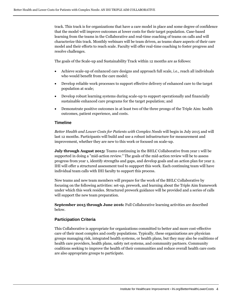track. This track is for organizations that have a care model in place and some degree of confidence that the model will improve outcomes at lower costs for their target population. Case-based learning from the teams in the Collaborative and real-time coaching of teams on calls and will characterize this track. Monthly webinars will be team driven, as teams share aspects of their care model and their efforts to reach scale. Faculty will offer real-time coaching to foster progress and resolve challenges.

The goals of the Scale-up and Sustainability Track within 12 months are as follows:

- Achieve scale-up of enhanced care designs and approach full scale, i.e., reach all individuals who would benefit from the care model;
- Develop reliable work processes to support effective delivery of enhanced care to the target population at scale;
- Develop robust learning systems during scale-up to support operationally and financially sustainable enhanced care programs for the target population; and
- Demonstrate positive outcomes in at least two of the three prongs of the Triple Aim: health outcomes, patient experience, and costs.

#### **Timeline**

*Better Health and Lower Costs for Patients with Complex Needs* will begin in July 2015 and will last 12 months. Participants will build and use a robust infrastructure for measurement and improvement, whether they are new to this work or focused on scale-up.

**July through August 2015:** Teams continuing in the BHLC Collaborative from year 1 will be supported in doing a "mid-action review." The goals of the mid-action review will be to assess progress from year 1, identify strengths and gaps, and develop goals and an action plan for year 2. IHI will offer a structured assessment tool to suppport this work. Each continuing team will have individual team calls with IHI faculty to support this process.

New teams and new team members will prepare for the work of the BHLC Collaborative by focusing on the following activities: set-up, prework, and learning about the Triple Aim framework under which this work resides. Structured prework guidance will be provided and a series of calls will support the new team preparation.

**September 2015 through June 2016:** Full Collaborative learning activities are described below.

#### **Participation Criteria**

This Collaborative is appropriate for organizations committed to better and more cost-effective care of their most complex and costly populations. Typically, these organizations are physician groups managing risk, integrated health systems, or health plans, but they may also be coalitions of health care providers, health plans, safety net systems, and community partners. Community coalitions seeking to improve the health of their communities and reduce overall health care costs are also appropriate groups to participate.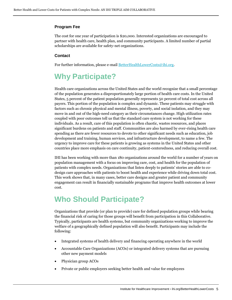#### **Program Fee**

The cost for one year of participation is \$20,000. Interested organizations are encouraged to partner with health care, health plan, and community participants. A limited number of partial scholarships are available for safety-net organizations.

#### **Contact**

For further information, please e-mai[l BetterHealthLowerCosts@ihi.org.](mailto:BetterHealthLowerCosts@ihi.org)

# <span id="page-4-0"></span>**Why Participate?**

Health care organizations across the United States and the world recognize that a small percentage of the population generates a disproportionately large portion of health care costs. In the United States, 5 percent of the patient population generally represents 50 percent of total cost across all payers. This portion of the population is complex and dynamic. These patients may struggle with factors such as chronic physical and mental illness, poverty, and social isolation, and they may move in and out of the high-need category as their circumstances change. High utilization rates coupled with poor outcomes tell us that the standard care system is not working for these individuals. As a result, care of this population is often chaotic, wastes resources, and places significant burdens on patients and staff. Communities are also harmed by ever-rising health care spending as there are fewer resources to devote to other significant needs such as education, job development and training, human services, and infrastructure development, to name a few. The urgency to improve care for these patients is growing as systems in the United States and other countries place more emphasis on care continuity, patient-centeredness, and reducing overall cost.

IHI has been working with more than 180 organizations around the world for a number of years on population management with a focus on improving care, cost, and health for the population of patients with complex needs. Organizations that listen deeply to patients' stories are able to codesign care approaches with patients to boost health and experience while driving down total cost. This work shows that, in many cases, better care designs and greater patient and community engagement can result in financially sustainable programs that improve health outcomes at lower cost.

### <span id="page-4-1"></span>**Who Should Participate?**

Organizations that provide (or plan to provide) care for defined population groups while bearing the financial risk of caring for those groups will benefit from participation in this Collaborative. Typically, participants are health systems, but community organizations working to improve the welfare of a geographically defined population will also benefit. Participants may include the following:

- Integrated systems of health delivery and financing operating anywhere in the world
- Accountable Care Organizations (ACOs) or integrated delivery systems that are pursuing other new payment models
- Physician group ACOs
- Private or public employers seeking better health and value for employees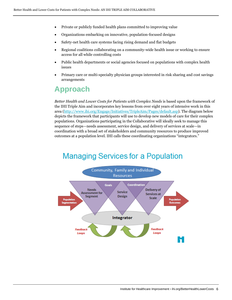- Private or publicly funded health plans committed to improving value
- Organizations embarking on innovative, population-focused designs
- Safety-net health care systems facing rising demand and flat budgets
- Regional coalitions collaborating on a community-wide health issue or working to ensure access for all while controlling costs
- Public health departments or social agencies focused on populations with complex health issues
- <span id="page-5-0"></span> Primary care or multi-specialty physician groups interested in risk sharing and cost savings arrangements

### **Approach**

*Better Health and Lower Costs for Patients with Complex Needs* is based upon the framework of the IHI Triple Aim and incorporates key lessons from over eight years of intensive work in this area [\(http://www.ihi.org/Engage/Initiatives/TripleAim/Pages/default.asp\)](http://www.ihi.org/Engage/Initiatives/TripleAim/Pages/default.asp). The diagram below depicts the framework that participants will use to develop new models of care for their complex populations. Organizations participating in the Collaborative will ideally seek to manage this sequence of steps—needs assessment, service design, and delivery of services at scale—in coordination with a broad set of stakeholders and community resources to produce improved outcomes at a population level. IHI calls these coordinating organizations "integrators."

# **Managing Services for a Population**

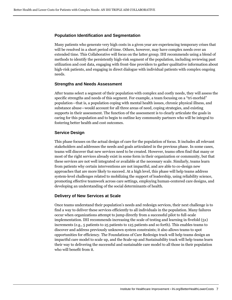#### **Population Identification and Segmentation**

Many patients who generate very high costs in a given year are experiencing temporary crises that will be resolved in a short period of time. Others, however, may have complex needs over an extended time. This Collaborative will focus on the latter group. IHI recommends using a blend of methods to identify the persistently high-risk segment of the population, including reviewing past utilization and cost data, engaging with front-line providers to gather qualitative information about high-risk patients, and engaging in direct dialogue with individual patients with complex ongoing needs.

#### **Strengths and Needs Assessment**

After teams select a segment of their population with complex and costly needs, they will assess the specific strengths and needs of this segment. For example, a team focusing on a "tri-morbid" population—that is, a population coping with mental health issues, chronic physical illness, and substance abuse—would account for all three areas of need, coping strategies, and existing supports in their assessment. The function of the assessment is to clearly articulate the goals in caring for this population and to begin to outline key community partners who will be integral to fostering better health and cost outcomes.

#### **Service Design**

This phase focuses on the actual design of care for the population of focus. It includes all relevant stakeholders and addresses the needs and goals articulated in the previous phase. In some cases, teams will discover that new services need to be created. However, teams often find that many or most of the right services already exist in some form in their organization or community, but that these services are not well integrated or available at the necessary scale. Similarly, teams learn from patients why certain interventions are not impactful, and are able to co-design new approaches that are more likely to succeed. At a high level, this phase will help teams address system-level challenges related to mobilizing the support of leadership, using reliability science, promoting effective teamwork across care settings, employing human-centered care designs, and developing an understanding of the social determinants of health.

#### **Delivery of New Services at Scale**

Once teams understand their population's needs and redesign services, their next challenge is to find a way to deliver these services efficiently to all individuals in the population. Many failures occur when organizations attempt to jump directly from a successful pilot to full-scale implementation. IHI recommends increasing the scale of testing and learning in fivefold (5x) increments (e.g., 5 patients to 25 patients to 125 patients and so forth). This enables teams to discover and address previously unknown system constraints; it also allows teams to spot opportunities for efficiency. The Foundations of Care Redesign track will help teams design an impactful care model to scale up, and the Scale-up and Sustainability track will help teams learn their way to delivering the successful and sustainable care model to all those in their population who will benefit from it.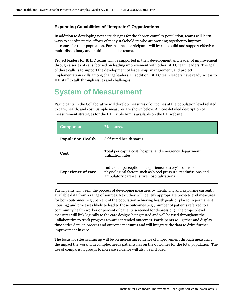#### **Expanding Capabilities of "Integrator" Organizations**

In addition to developing new care designs for the chosen complex population, teams will learn ways to coordinate the efforts of many stakeholders who are working together to improve outcomes for their population. For instance, participants will learn to build and support effective multi-disciplinary and multi-stakeholder teams.

Project leaders for BHLC teams will be supported in their development as a leader of improvement through a series of calls focused on leading improvement with other BHLC team leaders. The goal of these calls is to support the development of leadership, management, and project implementation skills among change leaders. In addition, BHLC team leaders have ready access to IHI staff to talk through issues and challenges.

## <span id="page-7-0"></span>**System of Measurement**

Participants in the Collaborative will develop measures of outcomes at the population level related to care, health, and cost. Sample measures are shown below. A more detailed description of measurement strategies for the IHI Triple Aim is available on the IHI website. 1

| <b>Component</b>          | <b>Measures</b>                                                                                                                                                          |
|---------------------------|--------------------------------------------------------------------------------------------------------------------------------------------------------------------------|
| <b>Population Health</b>  | Self-rated health status                                                                                                                                                 |
| Cost                      | Total per capita cost; hospital and emergency department<br>utilization rates                                                                                            |
| <b>Experience of care</b> | Individual perception of experience (survey); control of<br>physiological factors such as blood pressure; readmissions and<br>ambulatory care-sensitive hospitalizations |

Participants will begin the process of developing measures by identifying and exploring currently available data from a range of sources. Next, they will identify appropriate project-level measures for both outcomes (e.g., percent of the population achieving health goals or placed in permanent housing) and processes likely to lead to those outcomes (e.g., number of patients referred to a community health worker or percent of patients screened for depression). The project-level measures will link logically to the care designs being tested and will be used throughout the Collaborative to track progress towards intended outcomes. Participants will gather and display time series data on process and outcome measures and will integrate the data to drive further improvement in care.

The focus for sites scaling up will be on increasing evidence of improvement through measuring the impact the work with complex needs patients has on the outcomes for the total population. The use of comparison groups to increase evidence will also be included.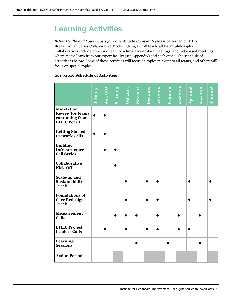# <span id="page-8-0"></span>**Learning Activities**

*Better Health and Lower Costs for Patients with Complex Needs* is patterned on IHI's Breakthrough Series Collaborative Model.<sup>2</sup> Using an "all teach, all learn" philosophy, Collaboratives include pre-work, team coaching, face-to-face meetings, and web-based meetings where teams learn from our expert faculty (see Appendix) and each other. The schedule of activities is below. Some of these activities will focus on topics relevant to all teams, and others will focus on special topics.

#### **2015-2016 Schedule of Activities**

|                                                                                       |          |          |                 |                 |           |          |                  |                 |                 |                 | May 2016  |                 |
|---------------------------------------------------------------------------------------|----------|----------|-----------------|-----------------|-----------|----------|------------------|-----------------|-----------------|-----------------|-----------|-----------------|
|                                                                                       | Jul 2015 | Aug 2015 | <b>Sep 2015</b> | <b>Oct 2015</b> | Nov 2015  | Dec 2015 | Jan 20 <u>16</u> | <b>Feb 2016</b> | <b>Mar 2016</b> | <b>Apr</b> 2016 |           | <b>Jun 2016</b> |
| <b>Mid-Action</b><br><b>Review for teams</b><br>continuing from<br><b>BHLC</b> Year 1 |          |          |                 |                 |           |          |                  |                 |                 |                 |           |                 |
| <b>Getting Started</b><br><b>Prework Calls</b>                                        |          |          |                 |                 |           |          |                  |                 |                 |                 |           |                 |
| <b>Building</b><br><b>Infrastructure</b><br><b>Call Series</b>                        |          |          |                 |                 |           |          |                  |                 |                 |                 |           |                 |
| Collaborative<br><b>Kick-Off</b>                                                      |          |          |                 |                 |           |          |                  |                 |                 |                 |           |                 |
| Scale-up and<br>Sustainability<br><b>Track</b>                                        |          |          |                 |                 |           |          |                  |                 |                 |                 |           |                 |
| <b>Foundations of</b><br><b>Care Redesign</b><br><b>Track</b>                         |          |          |                 |                 |           | ▲        | ●                |                 |                 |                 |           |                 |
| <b>Measurement</b><br>Calls                                                           |          |          |                 |                 | $\bullet$ |          |                  |                 |                 |                 | $\bullet$ |                 |
| <b>BHLC Project</b><br><b>Leaders Calls</b>                                           |          |          |                 |                 |           |          |                  |                 |                 |                 |           |                 |
| Learning<br><b>Sessions</b>                                                           |          |          |                 |                 | ●         |          |                  |                 |                 |                 |           |                 |
| <b>Action Periods</b>                                                                 |          |          |                 |                 |           |          |                  |                 |                 |                 |           |                 |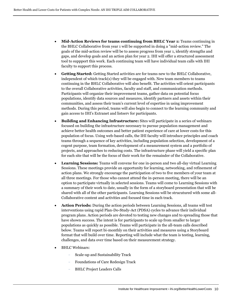- **Mid-Action Reviews for teams continuing from BHLC Year 1:** Teams continuing in the BHLC Collaborative from year 1 will be supported in doing a "mid-action review." The goals of the mid-action review will be to assess progress from year 1, identify strengths and gaps, and develop goals and an action plan for year 2. IHI will offer a structured assessment tool to suppport this work. Each continuing team will have individual team calls with IHI faculty to support this process.
- **Getting Started:** Getting Started activities are for teams new to the BHLC Collaborative, independent of which track(s) they will be engaged with. New team members to teams continuing in the BHLC Collaborative will also benefit. The activities will orient participants to the overall Collaborative activities, faculty and staff, and communication methods. Participants will organize their improvement teams, gather data on potential focus populations, identify data sources and measures, identify partners and assets within their communities, and assess their team's current level of expertise in using improvement methods. During this period, teams will also begin to connect to the learning community and gain access to IHI's Extranet and listserv for participants.
- **Building and Enhancing Infrastructure:** Sites will participate in a series of webinars focused on building the infrastructure necessary to pursue population management and achieve better health outcomes and better patient experience of care at lower costs for this population of focus. Using web-based calls, the IHI faculty will introduce principles and coach teams through a sequence of key activities, including population selection, development of a cogent purpose, team formation, development of a measurement system and a portfolio of projects, and approaches to reducing costs. The infrastructure phase will yield a specific plan for each site that will be the focus of their work for the remainder of the Collaborative.
- **Learning Sessions:** Teams will convene for one in-person and two all-day virtual Learning Sessions. These meetings provide an opportunity for learning, networking, and refinement of action plans. We strongly encourage the participation of two to five members of your team at all three meetings. For those who cannot attend the in-person meeting, there will be an option to participate virtually in selected sessions. Teams will come to Learning Sessions with a summary of their work to date, usually in the form of a storyboard presentation that will be shared with all of the other participants. Learning Sessions will be strucutured with some all-Collaborative content and activities and focused time in each track.
- **Action Periods:** During the action periods between Learning Sessions, all teams will test interventions using rapid Plan-Do-Study-Act (PDSA) cycles to advance their individual program plans. Action periods are devoted to testing new changes and to spreading those that have shown success. The intent is for participants to scale up from smaller to larger populations as quickly as possible. Teams will participate in the all-team calls described below. Teams will report bi-monthly on their activities and measures using a Storyboard format that will build over time. Reporting will include what the team is testing, learning, challenges, and data over time based on their measurement strategy.
- BHLC Webinars:
	- Scale-up and Sustainability Track
	- Foundations of Care Redesign Track
	- BHLC Project Leaders Calls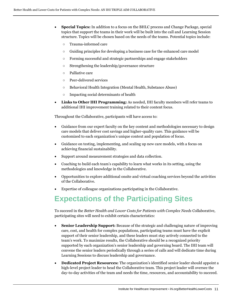- **Special Topics:** In addition to a focus on the BHLC process and Change Package, special topics that support the teams in their work will be built into the call and Learning Session structure. Topics will be chosen based on the needs of the teams. Potential topics include:
	- Trauma-informed care
	- Guiding principles for developing a business case for the enhanced care model
	- Forming successful and strategic partnerships and engage stakeholders
	- Strengthening the leadership/governance structure
	- Palliative care
	- Peer-delivered services
	- Behavioral Health Integration (Mental Health, Substance Abuse)
	- Impacting social determinants of health
- **Links to Other IHI Programming:** As needed, IHI faculty members will refer teams to additional IHI improvement training related to their content focus.

Throughout the Collaborative, participants will have access to:

- Guidance from our expert faculty on the key content and methodologies necessary to design care models that deliver cost savings and higher-quality care. This guidance will be customized to each organization's unique context and population of focus.
- Guidance on testing, implementing, and scaling up new care models, with a focus on achieving financial sustainability.
- Support around measurement strategies and data collection.
- Coaching to build each team's capability to learn what works in its setting, using the methodologies and knowledge in the Collaborative.
- Opportunities to explore additional onsite and virtual coaching services beyond the activities of the Collaborative.
- Expertise of colleague organizations participating in the Collaborative.

# <span id="page-10-0"></span>**Expectations of the Participating Sites**

To succeed in the *Better Health and Lower Costs for Patients with Complex Needs* Collaborative, participating sites will need to exhibit certain characteristics:

- **Senior Leadership Support:** Because of the strategic and challenging nature of improving care, cost, and health for complex populations, participating teams must have the explicit support of their senior leadership, and these leaders must stay actively connected to the team's work. To maximize results, the Collaborative should be a recognized priority supported by each organization's senior leadership and governing board. The IHI team will convene the senior leaders periodically through a series of calls and will dedicate time during Learning Sessions to discuss leadership and governance.
- **Dedicated Project Resources:** The organization's identified senior leader should appoint a high-level project leader to head the Collaborative team. This project leader will oversee the day-to-day activities of the team and needs the time, resources, and accountability to succeed.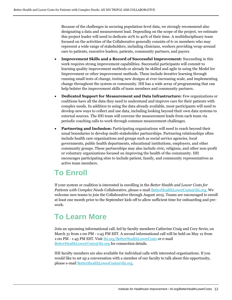Because of the challenges in securing population-level data, we strongly recommend also designating a data and measurement lead. Depending on the scope of the project, we estimate this project leader will need to dedicate 20% to 40% of their time. A multidisciplinary team focused on the activities of the Collaborative generally consists of 6-10 members who may represent a wide range of stakeholders, including clinicians, workers providing wrap-around care to patients, executive leaders, patients, community partners, and payers.

- **Improvement Skills and a Record of Successful Improvement:** Succeeding in this work requires strong improvement capabilities. Successful participants will commit to learning quality improvement methods or already be skilled and agile in using the Model for Improvement or other improvement methods. These include iterative learning through running small tests of change, testing new designs at ever-increasing scale, and implementing change throughout the system or community. IHI has a wide array of programming that can help bolster the improvement skills of team members and community partners.
- **Dedicated Support for Measurement and Data Infrastructure:** Few organizations or coalitions have all the data they need to understand and improve care for their patients with complex needs. In addition to using the data already available, most participants will need to develop new ways to collect and use data, including looking beyond their own data systems to external sources. The IHI team will convene the measurement leads from each team via periodic coaching calls to work through common measurement challenges.
- **Partnering and Inclusion:** Participating organizations will need to reach beyond their usual boundaries to develop multi-stakeholder partnerships. Partnering relationships often include health care organizations and groups such as social service agencies, local governments, public health departments, educational institutions, employers, and other community groups. These partnerships may also include civic, religious, and other non-profit or voluntary organizations focused on improving the health of the community. IHI encourages participating sites to include patient, family, and community representatives as active team members.

# <span id="page-11-0"></span>**To Enroll**

If your system or coalition is interested in enrolling in the *Better Health and Lower Costs for Patients with Complex Needs* Collaborative, please e-mai[l BetterHealthLowerCosts@ihi.org.](mailto:BetterHealthLowerCosts@ihi.org) We welcome new teams to join the Collaborative through August 2015. Teams are encouraged to enroll at least one month prior to the September kick-off to allow sufficient time for onboarding and prework.

# <span id="page-11-1"></span>**To Learn More**

Join an upcoming informational call, led by faculty members Catherine Craig and Cory Sevin, on March 31 from 1:00 PM - 1:45 PM EST. A second informational call will be held on May 12 from 1:00 PM - 1:45 PM EST. Visit [ihi.org/BetterHealthLowerCosts](http://www.ihi.org/Engage/collaboratives/BetterHealthLowerCostsPatientswithComplexNeeds/Pages/default.aspx) or e-mail [BetterHealthLowerCosts@ihi.org](mailto:BetterHealthLowerCosts@ihi.org) for connection details.

IHI faculty members are also available for individual calls with interested organizations. If you would like to set up a conversation with a member of our faculty to talk about this opportunity, please e-mail [BetterHealthLowerCosts@ihi.org.](mailto:BetterHealthLowerCosts@ihi.org)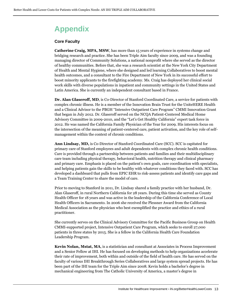# <span id="page-12-0"></span>**Appendix**

#### **Core Faculty**

**Catherine Craig, MPA, MSW**, has more than 15 years of experience in systems change and bridging research and practice. She has been Triple Aim faculty since 2009, and was a founding managing director of Community Solutions, a national nonprofit where she served as the director of healthy communities. Before that, she was a research scientist at the New York City Department of Health and Mental Hygiene, where she designed and led learning Collaboratives to boost mental health outcomes, and a consultant to the Fire Department of New York in its successful effort to boost minority applicants to the firefighting academy. Ms. Craig has deployed her clinical social work skills with diverse populations in inpatient and community settings in the United States and Latin America. She is currently an independent consultant based in France.

**Dr. Alan Glaseroff, MD**, is Co-Director of Stanford Coordinated Care, a service for patients with complex chronic illness. He is a member of the Innovation Brain Trust for the UniteHERE Health and a Clinical Advisor to the PBGH "Intensive Outpatient Care Program" CMMI Innovation Grant that began in July 2012. Dr. Glaseroff served on the NCQA Patient-Centered Medical Home Advisory Committee in 2009-2010, and the "Let's Get Healthy California" expert task force in 2012. He was named the California Family Physician of the Year for 2009. His interests focus on the intersection of the meaning of patient-centered care, patient activation, and the key role of selfmanagement within the context of chronic conditions.

**Ann Lindsay, MD,** is Co-Director of Stanford Coordinated Care (SCC). SCC is capitated for primary care of Stanford employees and adult dependents with complex chronic health conditions. Care is provided through a partnership between patients and families and their multidisciplinary care team including physical therapy, behavioral health, nutrition therapy and clinical pharmacy and primary care. Emphasis is placed on the patient's own goals, care coordination with specialists, and helping patients gain the skills to be healthy with whatever conditions they faced with. SCC has developed a dashboard that pulls from EPIC EHR to risk-assess patients and identify care gaps and a Team Training Center to share the model of care.

Prior to moving to Stanford in 2011, Dr. Lindsay shared a family practice with her husband, Dr. Alan Glaseroff, in rural Northern California for 28 years. During this time she served as County Health Officer for 18 years and was active in the leadership of the California Conference of Local Health Officers in Sacramento. In 2006 she received the Plessner Award from the California Medical Association as the physician who best exemplified the practice and ethics of a rural practitioner.

She currently serves on the Clinical Advisory Committee for the Pacific Business Group on Health CMMI-supported project, Intensive Outpatient Care Program, which seeks to enroll 27,000 patients in three states by 2015. She is a fellow in the California Health Care Foundation Leadership Program.

**Kevin Nolan, Mstat, MA**, is a statistician and consultant at Associates in Process Improvement and a Senior Fellow at IHI. He has focused on developing methods to help organizations accelerate their rate of improvement, both within and outside of the field of health care. He has served on the faculty of various IHI Breakthrough Series Collaboratives and large system spread projects. He has been part of the IHI team for the Triple Aim since 2008. Kevin holds a bachelor's degree in mechanical engineering from The Catholic University of America, a master's degree in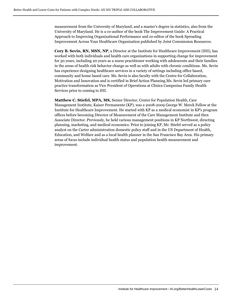measurement from the University of Maryland, and a master's degree in statistics, also from the University of Maryland. He is a co-author of the book The Improvement Guide: A Practical Approach to Improving Organizational Performance and co-editor of the book Spreading Improvement Across Your Healthcare Organization published by Joint Commission Resources.

**Cory B. Sevin, RN, MSN, NP**, a Director at the Institute for Healthcare Improvement (IHI), has worked with both individuals and health care organizations in supporting change for improvement for 30 years, including 20 years as a nurse practitioner working with adolescents and their families in the areas of health risk behavior change as well as with adults with chronic conditions. Ms. Sevin has experience designing healthcare services in a variety of settings including office based, community and home based care. Ms. Sevin is also faculty with the Centre for Collaboration, Motivation and Innovation and is certified in Brief Action Planning.Ms. Sevin led primary care practice transformation as Vice President of Operations at Clinica Campesina Family Health Services prior to coming to IHI.

**Matthew C. Stiefel, MPA, MS,** Senior Director, Center for Population Health, Care Management Institute, Kaiser Permanente (KP), was a 2008-2009 George W. Merck Fellow at the Institute for Healthcare Improvement. He started with KP as a medical economist in KP's program offices before becoming Director of Measurement of the Care Management Institute and then Associate Director. Previously, he held various management positions in KP Northwest, directing planning, marketing, and medical economics. Prior to joining KP, Mr. Stiefel served as a policy analyst on the Carter administration domestic policy staff and in the US Department of Health, Education, and Welfare and as a local health planner in the San Francisco Bay Area. His primary areas of focus include individual health status and population health measurement and improvement.